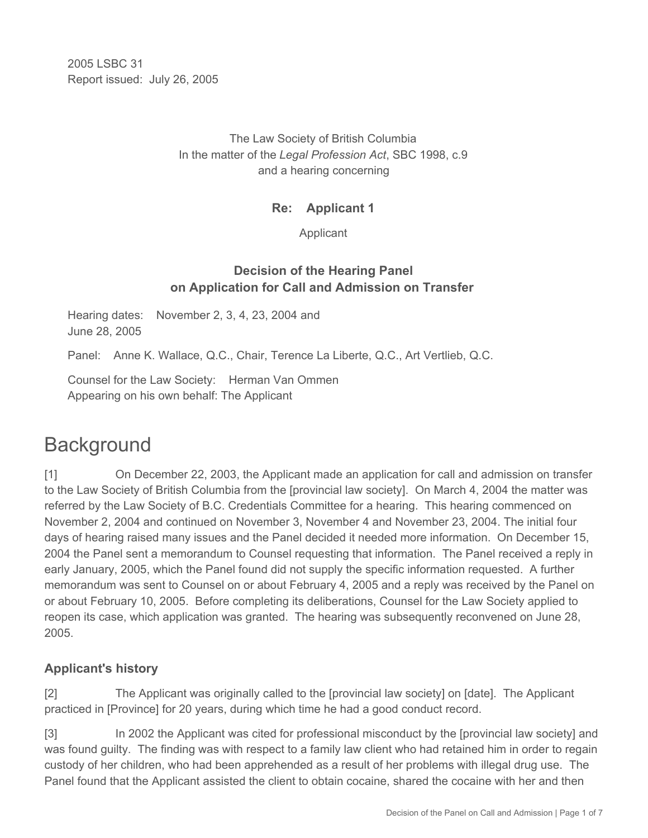2005 LSBC 31 Report issued: July 26, 2005

#### The Law Society of British Columbia In the matter of the *Legal Profession Act*, SBC 1998, c.9 and a hearing concerning

#### **Re: Applicant 1**

Applicant

## **Decision of the Hearing Panel on Application for Call and Admission on Transfer**

Hearing dates: November 2, 3, 4, 23, 2004 and June 28, 2005

Panel: Anne K. Wallace, Q.C., Chair, Terence La Liberte, Q.C., Art Vertlieb, Q.C.

Counsel for the Law Society: Herman Van Ommen Appearing on his own behalf: The Applicant

# **Background**

[1] On December 22, 2003, the Applicant made an application for call and admission on transfer to the Law Society of British Columbia from the [provincial law society]. On March 4, 2004 the matter was referred by the Law Society of B.C. Credentials Committee for a hearing. This hearing commenced on November 2, 2004 and continued on November 3, November 4 and November 23, 2004. The initial four days of hearing raised many issues and the Panel decided it needed more information. On December 15, 2004 the Panel sent a memorandum to Counsel requesting that information. The Panel received a reply in early January, 2005, which the Panel found did not supply the specific information requested. A further memorandum was sent to Counsel on or about February 4, 2005 and a reply was received by the Panel on or about February 10, 2005. Before completing its deliberations, Counsel for the Law Society applied to reopen its case, which application was granted. The hearing was subsequently reconvened on June 28, 2005.

# **Applicant's history**

[2] The Applicant was originally called to the [provincial law society] on [date]. The Applicant practiced in [Province] for 20 years, during which time he had a good conduct record.

[3] In 2002 the Applicant was cited for professional misconduct by the [provincial law society] and was found guilty. The finding was with respect to a family law client who had retained him in order to regain custody of her children, who had been apprehended as a result of her problems with illegal drug use. The Panel found that the Applicant assisted the client to obtain cocaine, shared the cocaine with her and then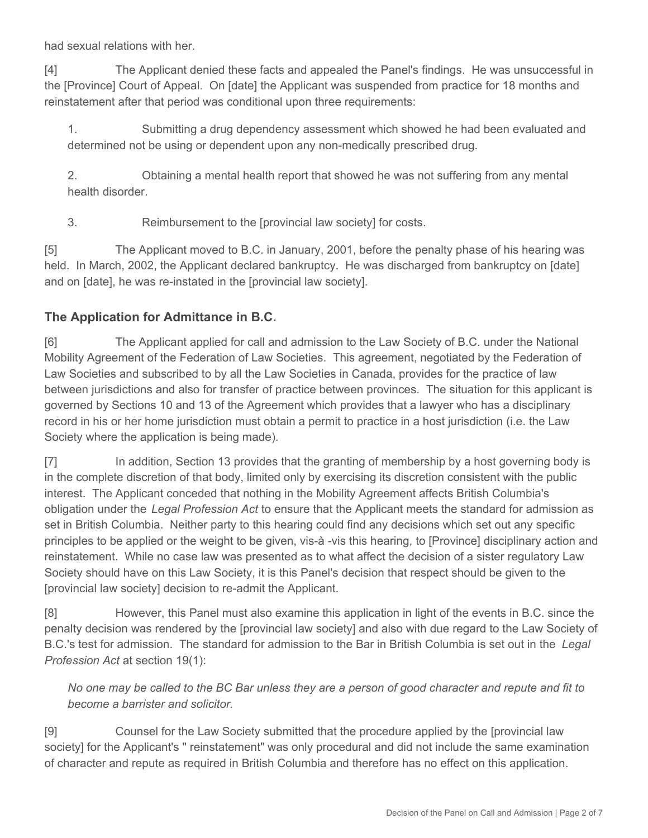had sexual relations with her.

[4] The Applicant denied these facts and appealed the Panel's findings. He was unsuccessful in the [Province] Court of Appeal. On [date] the Applicant was suspended from practice for 18 months and reinstatement after that period was conditional upon three requirements:

1. Submitting a drug dependency assessment which showed he had been evaluated and determined not be using or dependent upon any non-medically prescribed drug.

2. Obtaining a mental health report that showed he was not suffering from any mental health disorder.

3. Reimbursement to the [provincial law society] for costs.

[5] The Applicant moved to B.C. in January, 2001, before the penalty phase of his hearing was held. In March, 2002, the Applicant declared bankruptcy. He was discharged from bankruptcy on [date] and on [date], he was re-instated in the [provincial law society].

### **The Application for Admittance in B.C.**

[6] The Applicant applied for call and admission to the Law Society of B.C. under the National Mobility Agreement of the Federation of Law Societies. This agreement, negotiated by the Federation of Law Societies and subscribed to by all the Law Societies in Canada, provides for the practice of law between jurisdictions and also for transfer of practice between provinces. The situation for this applicant is governed by Sections 10 and 13 of the Agreement which provides that a lawyer who has a disciplinary record in his or her home jurisdiction must obtain a permit to practice in a host jurisdiction (i.e. the Law Society where the application is being made).

[7] In addition, Section 13 provides that the granting of membership by a host governing body is in the complete discretion of that body, limited only by exercising its discretion consistent with the public interest. The Applicant conceded that nothing in the Mobility Agreement affects British Columbia's obligation under the *Legal Profession Act* to ensure that the Applicant meets the standard for admission as set in British Columbia. Neither party to this hearing could find any decisions which set out any specific principles to be applied or the weight to be given, vis-à -vis this hearing, to [Province] disciplinary action and reinstatement. While no case law was presented as to what affect the decision of a sister regulatory Law Society should have on this Law Society, it is this Panel's decision that respect should be given to the [provincial law society] decision to re-admit the Applicant.

[8] However, this Panel must also examine this application in light of the events in B.C. since the penalty decision was rendered by the [provincial law society] and also with due regard to the Law Society of B.C.'s test for admission. The standard for admission to the Bar in British Columbia is set out in the *Legal Profession Act* at section 19(1):

*No one may be called to the BC Bar unless they are a person of good character and repute and fit to become a barrister and solicitor.*

[9] Counsel for the Law Society submitted that the procedure applied by the [provincial law society] for the Applicant's " reinstatement" was only procedural and did not include the same examination of character and repute as required in British Columbia and therefore has no effect on this application.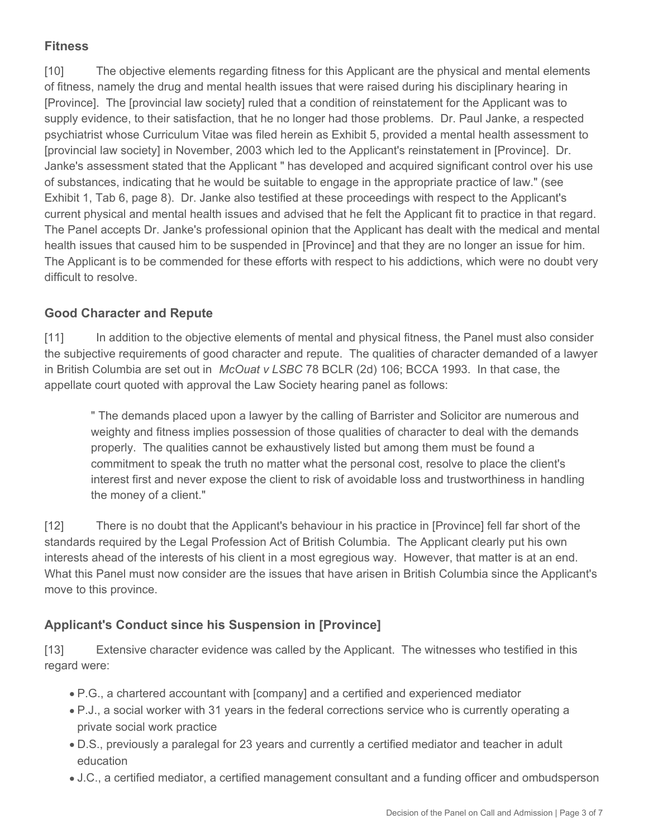# **Fitness**

[10] The objective elements regarding fitness for this Applicant are the physical and mental elements of fitness, namely the drug and mental health issues that were raised during his disciplinary hearing in [Province]. The [provincial law society] ruled that a condition of reinstatement for the Applicant was to supply evidence, to their satisfaction, that he no longer had those problems. Dr. Paul Janke, a respected psychiatrist whose Curriculum Vitae was filed herein as Exhibit 5, provided a mental health assessment to [provincial law society] in November, 2003 which led to the Applicant's reinstatement in [Province]. Dr. Janke's assessment stated that the Applicant " has developed and acquired significant control over his use of substances, indicating that he would be suitable to engage in the appropriate practice of law." (see Exhibit 1, Tab 6, page 8). Dr. Janke also testified at these proceedings with respect to the Applicant's current physical and mental health issues and advised that he felt the Applicant fit to practice in that regard. The Panel accepts Dr. Janke's professional opinion that the Applicant has dealt with the medical and mental health issues that caused him to be suspended in [Province] and that they are no longer an issue for him. The Applicant is to be commended for these efforts with respect to his addictions, which were no doubt very difficult to resolve.

### **Good Character and Repute**

[11] In addition to the objective elements of mental and physical fitness, the Panel must also consider the subjective requirements of good character and repute. The qualities of character demanded of a lawyer in British Columbia are set out in *McOuat v LSBC* 78 BCLR (2d) 106; BCCA 1993. In that case, the appellate court quoted with approval the Law Society hearing panel as follows:

" The demands placed upon a lawyer by the calling of Barrister and Solicitor are numerous and weighty and fitness implies possession of those qualities of character to deal with the demands properly. The qualities cannot be exhaustively listed but among them must be found a commitment to speak the truth no matter what the personal cost, resolve to place the client's interest first and never expose the client to risk of avoidable loss and trustworthiness in handling the money of a client."

[12] There is no doubt that the Applicant's behaviour in his practice in [Province] fell far short of the standards required by the Legal Profession Act of British Columbia. The Applicant clearly put his own interests ahead of the interests of his client in a most egregious way. However, that matter is at an end. What this Panel must now consider are the issues that have arisen in British Columbia since the Applicant's move to this province.

# **Applicant's Conduct since his Suspension in [Province]**

[13] Extensive character evidence was called by the Applicant. The witnesses who testified in this regard were:

- P.G., a chartered accountant with [company] and a certified and experienced mediator
- P.J., a social worker with 31 years in the federal corrections service who is currently operating a private social work practice
- D.S., previously a paralegal for 23 years and currently a certified mediator and teacher in adult education
- J.C., a certified mediator, a certified management consultant and a funding officer and ombudsperson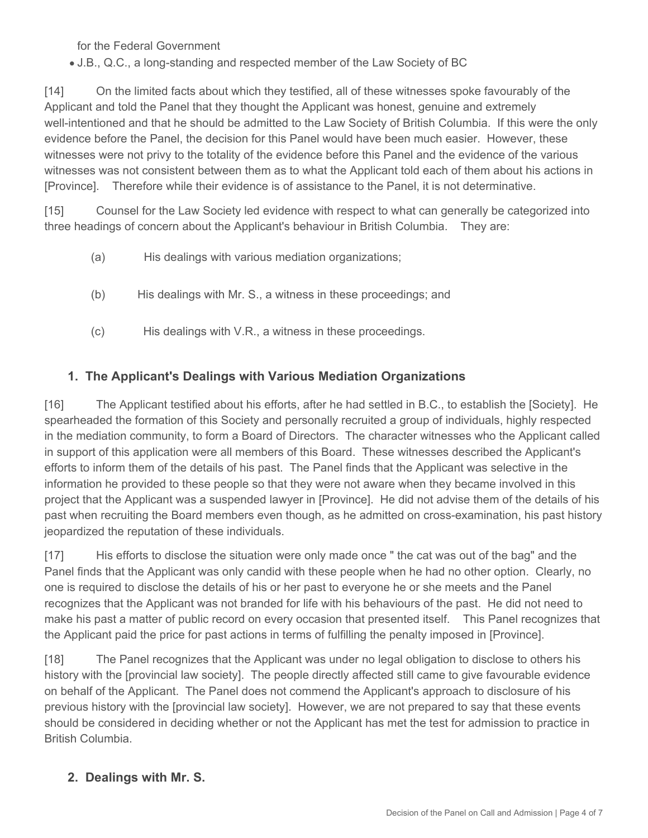for the Federal Government

J.B., Q.C., a long-standing and respected member of the Law Society of BC

[14] On the limited facts about which they testified, all of these witnesses spoke favourably of the Applicant and told the Panel that they thought the Applicant was honest, genuine and extremely well-intentioned and that he should be admitted to the Law Society of British Columbia. If this were the only evidence before the Panel, the decision for this Panel would have been much easier. However, these witnesses were not privy to the totality of the evidence before this Panel and the evidence of the various witnesses was not consistent between them as to what the Applicant told each of them about his actions in [Province]. Therefore while their evidence is of assistance to the Panel, it is not determinative.

[15] Counsel for the Law Society led evidence with respect to what can generally be categorized into three headings of concern about the Applicant's behaviour in British Columbia. They are:

- (a) His dealings with various mediation organizations;
- (b) His dealings with Mr. S., a witness in these proceedings; and
- (c) His dealings with V.R., a witness in these proceedings.

#### **1. The Applicant's Dealings with Various Mediation Organizations**

[16] The Applicant testified about his efforts, after he had settled in B.C., to establish the [Society]. He spearheaded the formation of this Society and personally recruited a group of individuals, highly respected in the mediation community, to form a Board of Directors. The character witnesses who the Applicant called in support of this application were all members of this Board. These witnesses described the Applicant's efforts to inform them of the details of his past. The Panel finds that the Applicant was selective in the information he provided to these people so that they were not aware when they became involved in this project that the Applicant was a suspended lawyer in [Province]. He did not advise them of the details of his past when recruiting the Board members even though, as he admitted on cross-examination, his past history jeopardized the reputation of these individuals.

[17] His efforts to disclose the situation were only made once " the cat was out of the bag" and the Panel finds that the Applicant was only candid with these people when he had no other option. Clearly, no one is required to disclose the details of his or her past to everyone he or she meets and the Panel recognizes that the Applicant was not branded for life with his behaviours of the past. He did not need to make his past a matter of public record on every occasion that presented itself. This Panel recognizes that the Applicant paid the price for past actions in terms of fulfilling the penalty imposed in [Province].

[18] The Panel recognizes that the Applicant was under no legal obligation to disclose to others his history with the [provincial law society]. The people directly affected still came to give favourable evidence on behalf of the Applicant. The Panel does not commend the Applicant's approach to disclosure of his previous history with the [provincial law society]. However, we are not prepared to say that these events should be considered in deciding whether or not the Applicant has met the test for admission to practice in British Columbia.

#### **2. Dealings with Mr. S.**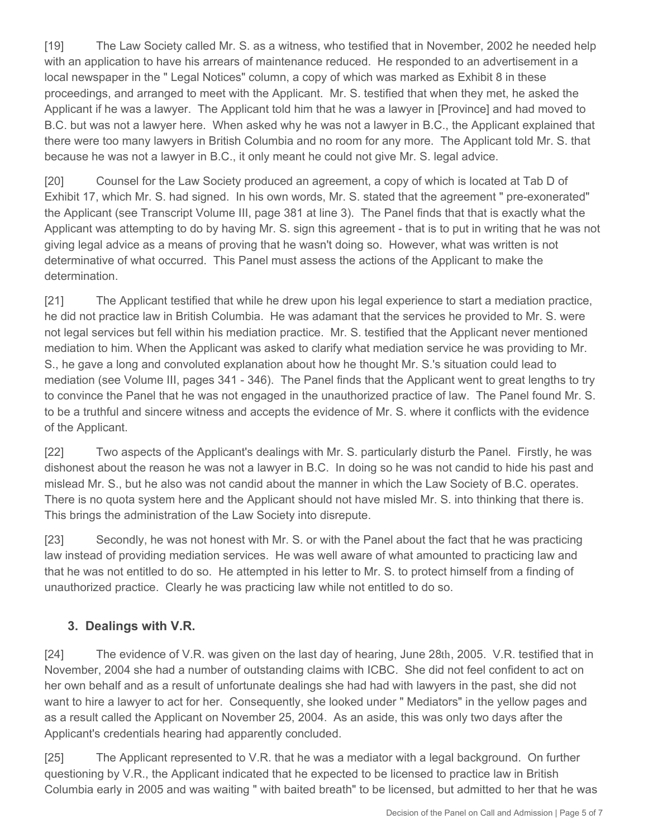[19] The Law Society called Mr. S. as a witness, who testified that in November, 2002 he needed help with an application to have his arrears of maintenance reduced. He responded to an advertisement in a local newspaper in the " Legal Notices" column, a copy of which was marked as Exhibit 8 in these proceedings, and arranged to meet with the Applicant. Mr. S. testified that when they met, he asked the Applicant if he was a lawyer. The Applicant told him that he was a lawyer in [Province] and had moved to B.C. but was not a lawyer here. When asked why he was not a lawyer in B.C., the Applicant explained that there were too many lawyers in British Columbia and no room for any more. The Applicant told Mr. S. that because he was not a lawyer in B.C., it only meant he could not give Mr. S. legal advice.

[20] Counsel for the Law Society produced an agreement, a copy of which is located at Tab D of Exhibit 17, which Mr. S. had signed. In his own words, Mr. S. stated that the agreement " pre-exonerated" the Applicant (see Transcript Volume III, page 381 at line 3). The Panel finds that that is exactly what the Applicant was attempting to do by having Mr. S. sign this agreement - that is to put in writing that he was not giving legal advice as a means of proving that he wasn't doing so. However, what was written is not determinative of what occurred. This Panel must assess the actions of the Applicant to make the determination.

[21] The Applicant testified that while he drew upon his legal experience to start a mediation practice, he did not practice law in British Columbia. He was adamant that the services he provided to Mr. S. were not legal services but fell within his mediation practice. Mr. S. testified that the Applicant never mentioned mediation to him. When the Applicant was asked to clarify what mediation service he was providing to Mr. S., he gave a long and convoluted explanation about how he thought Mr. S.'s situation could lead to mediation (see Volume III, pages 341 - 346). The Panel finds that the Applicant went to great lengths to try to convince the Panel that he was not engaged in the unauthorized practice of law. The Panel found Mr. S. to be a truthful and sincere witness and accepts the evidence of Mr. S. where it conflicts with the evidence of the Applicant.

[22] Two aspects of the Applicant's dealings with Mr. S. particularly disturb the Panel. Firstly, he was dishonest about the reason he was not a lawyer in B.C. In doing so he was not candid to hide his past and mislead Mr. S., but he also was not candid about the manner in which the Law Society of B.C. operates. There is no quota system here and the Applicant should not have misled Mr. S. into thinking that there is. This brings the administration of the Law Society into disrepute.

[23] Secondly, he was not honest with Mr. S. or with the Panel about the fact that he was practicing law instead of providing mediation services. He was well aware of what amounted to practicing law and that he was not entitled to do so. He attempted in his letter to Mr. S. to protect himself from a finding of unauthorized practice. Clearly he was practicing law while not entitled to do so.

# **3. Dealings with V.R.**

[24] The evidence of V.R. was given on the last day of hearing, June 28th, 2005. V.R. testified that in November, 2004 she had a number of outstanding claims with ICBC. She did not feel confident to act on her own behalf and as a result of unfortunate dealings she had had with lawyers in the past, she did not want to hire a lawyer to act for her. Consequently, she looked under " Mediators" in the yellow pages and as a result called the Applicant on November 25, 2004. As an aside, this was only two days after the Applicant's credentials hearing had apparently concluded.

[25] The Applicant represented to V.R. that he was a mediator with a legal background. On further questioning by V.R., the Applicant indicated that he expected to be licensed to practice law in British Columbia early in 2005 and was waiting " with baited breath" to be licensed, but admitted to her that he was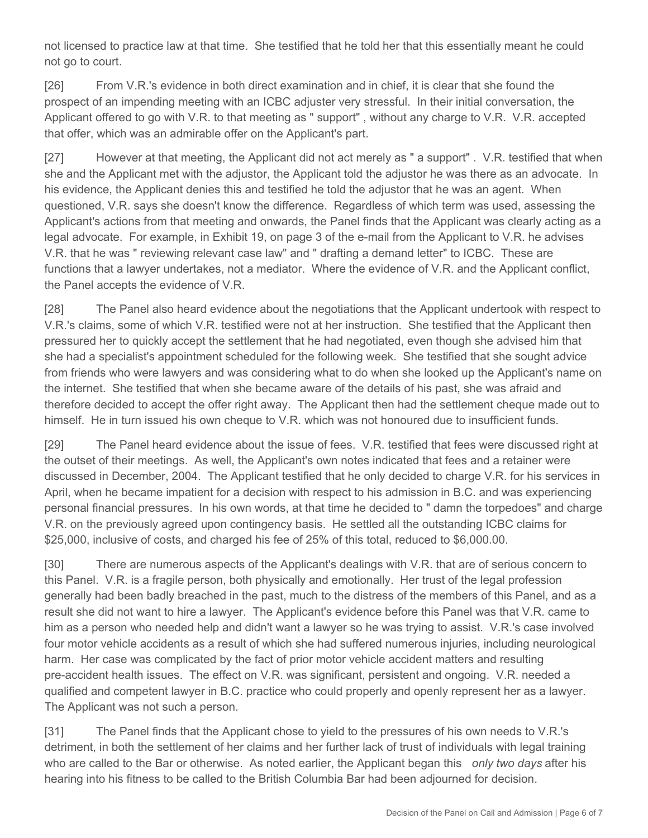not licensed to practice law at that time. She testified that he told her that this essentially meant he could not go to court.

[26] From V.R.'s evidence in both direct examination and in chief, it is clear that she found the prospect of an impending meeting with an ICBC adjuster very stressful. In their initial conversation, the Applicant offered to go with V.R. to that meeting as " support", without any charge to V.R. V.R. accepted that offer, which was an admirable offer on the Applicant's part.

[27] However at that meeting, the Applicant did not act merely as " a support" . V.R. testified that when she and the Applicant met with the adjustor, the Applicant told the adjustor he was there as an advocate. In his evidence, the Applicant denies this and testified he told the adjustor that he was an agent. When questioned, V.R. says she doesn't know the difference. Regardless of which term was used, assessing the Applicant's actions from that meeting and onwards, the Panel finds that the Applicant was clearly acting as a legal advocate. For example, in Exhibit 19, on page 3 of the e-mail from the Applicant to V.R. he advises V.R. that he was " reviewing relevant case law" and " drafting a demand letter" to ICBC. These are functions that a lawyer undertakes, not a mediator. Where the evidence of V.R. and the Applicant conflict, the Panel accepts the evidence of V.R.

[28] The Panel also heard evidence about the negotiations that the Applicant undertook with respect to V.R.'s claims, some of which V.R. testified were not at her instruction. She testified that the Applicant then pressured her to quickly accept the settlement that he had negotiated, even though she advised him that she had a specialist's appointment scheduled for the following week. She testified that she sought advice from friends who were lawyers and was considering what to do when she looked up the Applicant's name on the internet. She testified that when she became aware of the details of his past, she was afraid and therefore decided to accept the offer right away. The Applicant then had the settlement cheque made out to himself. He in turn issued his own cheque to V.R. which was not honoured due to insufficient funds.

[29] The Panel heard evidence about the issue of fees. V.R. testified that fees were discussed right at the outset of their meetings. As well, the Applicant's own notes indicated that fees and a retainer were discussed in December, 2004. The Applicant testified that he only decided to charge V.R. for his services in April, when he became impatient for a decision with respect to his admission in B.C. and was experiencing personal financial pressures. In his own words, at that time he decided to " damn the torpedoes" and charge V.R. on the previously agreed upon contingency basis. He settled all the outstanding ICBC claims for \$25,000, inclusive of costs, and charged his fee of 25% of this total, reduced to \$6,000.00.

[30] There are numerous aspects of the Applicant's dealings with V.R. that are of serious concern to this Panel. V.R. is a fragile person, both physically and emotionally. Her trust of the legal profession generally had been badly breached in the past, much to the distress of the members of this Panel, and as a result she did not want to hire a lawyer. The Applicant's evidence before this Panel was that V.R. came to him as a person who needed help and didn't want a lawyer so he was trying to assist. V.R.'s case involved four motor vehicle accidents as a result of which she had suffered numerous injuries, including neurological harm. Her case was complicated by the fact of prior motor vehicle accident matters and resulting pre-accident health issues. The effect on V.R. was significant, persistent and ongoing. V.R. needed a qualified and competent lawyer in B.C. practice who could properly and openly represent her as a lawyer. The Applicant was not such a person.

[31] The Panel finds that the Applicant chose to yield to the pressures of his own needs to V.R.'s detriment, in both the settlement of her claims and her further lack of trust of individuals with legal training who are called to the Bar or otherwise. As noted earlier, the Applicant began this *only two days* after his hearing into his fitness to be called to the British Columbia Bar had been adjourned for decision.